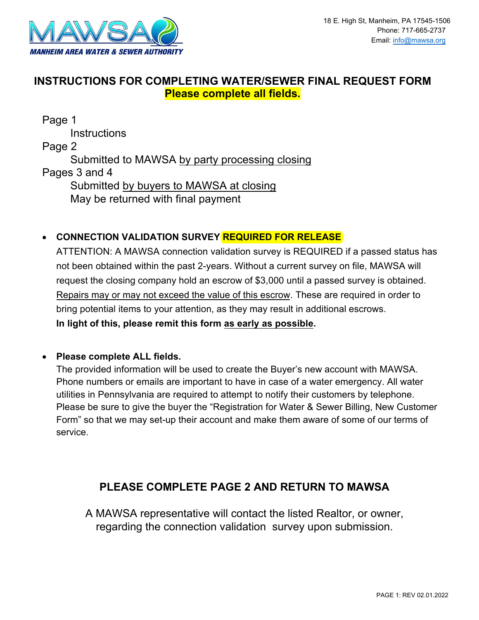

# **INSTRUCTIONS FOR COMPLETING WATER/SEWER FINAL REQUEST FORM Please complete all fields.**

Page 1 **Instructions** Page 2 Submitted to MAWSA by party processing closing Pages 3 and 4 Submitted by buyers to MAWSA at closing May be returned with final payment

## • **CONNECTION VALIDATION SURVEY REQUIRED FOR RELEASE**

ATTENTION: A MAWSA connection validation survey is REQUIRED if a passed status has not been obtained within the past 2-years. Without a current survey on file, MAWSA will request the closing company hold an escrow of \$3,000 until a passed survey is obtained. Repairs may or may not exceed the value of this escrow. These are required in order to bring potential items to your attention, as they may result in additional escrows. **In light of this, please remit this form as early as possible.**

## • **Please complete ALL fields.**

The provided information will be used to create the Buyer's new account with MAWSA. Phone numbers or emails are important to have in case of a water emergency. All water utilities in Pennsylvania are required to attempt to notify their customers by telephone. Please be sure to give the buyer the "Registration for Water & Sewer Billing, New Customer Form" so that we may set-up their account and make them aware of some of our terms of service.

# **PLEASE COMPLETE PAGE 2 AND RETURN TO MAWSA**

A MAWSA representative will contact the listed Realtor, or owner, regarding the connection validation survey upon submission.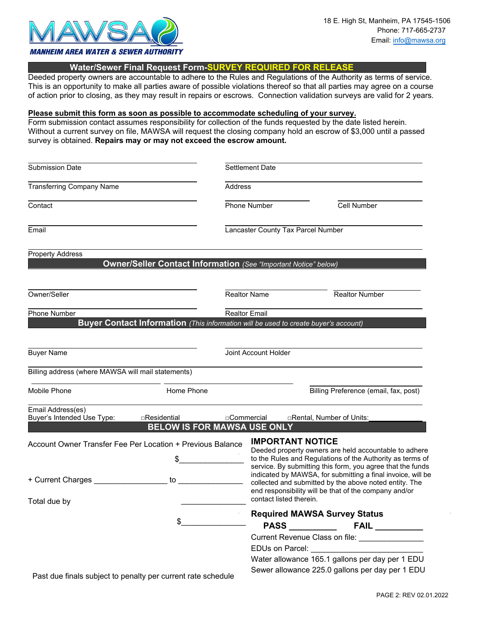

#### **Water/Sewer Final Request Form-SURVEY REQUIRED FOR RELEASE**

Deeded property owners are accountable to adhere to the Rules and Regulations of the Authority as terms of service. This is an opportunity to make all parties aware of possible violations thereof so that all parties may agree on a course of action prior to closing, as they may result in repairs or escrows. Connection validation surveys are valid for 2 years.

#### **Please submit this form as soon as possible to accommodate scheduling of your survey.**

Form submission contact assumes responsibility for collection of the funds requested by the date listed herein. Without a current survey on file, MAWSA will request the closing company hold an escrow of \$3,000 until a passed survey is obtained. **Repairs may or may not exceed the escrow amount.**

| <b>Submission Date</b>                                                                              |                                                                        | <b>Settlement Date</b> |                                                                                                                                                                                                                                                                                                                                      |                           |                                       |  |
|-----------------------------------------------------------------------------------------------------|------------------------------------------------------------------------|------------------------|--------------------------------------------------------------------------------------------------------------------------------------------------------------------------------------------------------------------------------------------------------------------------------------------------------------------------------------|---------------------------|---------------------------------------|--|
| <b>Transferring Company Name</b>                                                                    | Address                                                                |                        |                                                                                                                                                                                                                                                                                                                                      |                           |                                       |  |
| Contact                                                                                             | Phone Number                                                           |                        |                                                                                                                                                                                                                                                                                                                                      | Cell Number               |                                       |  |
| Email                                                                                               |                                                                        |                        | Lancaster County Tax Parcel Number                                                                                                                                                                                                                                                                                                   |                           |                                       |  |
| <b>Property Address</b>                                                                             | <b>Owner/Seller Contact Information (See "Important Notice" below)</b> |                        |                                                                                                                                                                                                                                                                                                                                      |                           |                                       |  |
| Owner/Seller                                                                                        |                                                                        |                        | <b>Realtor Name</b>                                                                                                                                                                                                                                                                                                                  |                           | <b>Realtor Number</b>                 |  |
| Phone Number<br>Buyer Contact Information (This information will be used to create buyer's account) |                                                                        |                        | <b>Realtor Email</b>                                                                                                                                                                                                                                                                                                                 |                           |                                       |  |
| <b>Buyer Name</b>                                                                                   |                                                                        |                        | Joint Account Holder                                                                                                                                                                                                                                                                                                                 |                           |                                       |  |
| Billing address (where MAWSA will mail statements)                                                  |                                                                        |                        |                                                                                                                                                                                                                                                                                                                                      |                           |                                       |  |
| Mobile Phone                                                                                        | Home Phone                                                             |                        |                                                                                                                                                                                                                                                                                                                                      |                           | Billing Preference (email, fax, post) |  |
| Email Address(es)<br>Buyer's Intended Use Type:                                                     | $\Box$ Residential<br><b>BELOW IS FOR MAWSA USE ONLY</b>               | □Commercial            |                                                                                                                                                                                                                                                                                                                                      | □Rental, Number of Units: |                                       |  |
| Account Owner Transfer Fee Per Location + Previous Balance<br>+ Current Charges                     | \$<br>to                                                               |                        | <b>IMPORTANT NOTICE</b><br>Deeded property owners are held accountable to adhere<br>to the Rules and Regulations of the Authority as terms of<br>service. By submitting this form, you agree that the funds<br>indicated by MAWSA, for submitting a final invoice, will be<br>collected and submitted by the above noted entity. The |                           |                                       |  |
| Total due by                                                                                        |                                                                        |                        | end responsibility will be that of the company and/or<br>contact listed therein.                                                                                                                                                                                                                                                     |                           |                                       |  |
|                                                                                                     | \$                                                                     |                        | <b>Required MAWSA Survey Status</b>                                                                                                                                                                                                                                                                                                  |                           |                                       |  |
| Past due finals subject to penalty per current rate schedule                                        |                                                                        |                        | Current Revenue Class on file: _________________<br>Water allowance 165.1 gallons per day per 1 EDU<br>Sewer allowance 225.0 gallons per day per 1 EDU                                                                                                                                                                               |                           |                                       |  |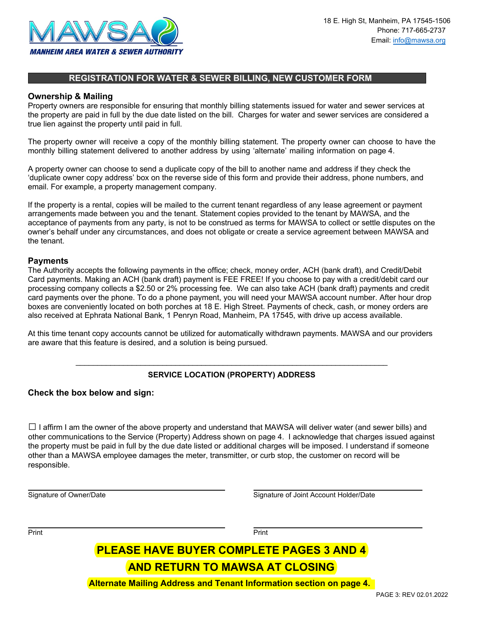

### **REGISTRATION FOR WATER & SEWER BILLING, NEW CUSTOMER FORM**

#### **Ownership & Mailing**

Property owners are responsible for ensuring that monthly billing statements issued for water and sewer services at the property are paid in full by the due date listed on the bill. Charges for water and sewer services are considered a true lien against the property until paid in full.

The property owner will receive a copy of the monthly billing statement. The property owner can choose to have the monthly billing statement delivered to another address by using 'alternate' mailing information on page 4.

A property owner can choose to send a duplicate copy of the bill to another name and address if they check the 'duplicate owner copy address' box on the reverse side of this form and provide their address, phone numbers, and email. For example, a property management company.

If the property is a rental, copies will be mailed to the current tenant regardless of any lease agreement or payment arrangements made between you and the tenant. Statement copies provided to the tenant by MAWSA, and the acceptance of payments from any party, is not to be construed as terms for MAWSA to collect or settle disputes on the owner's behalf under any circumstances, and does not obligate or create a service agreement between MAWSA and the tenant.

#### **Payments**

The Authority accepts the following payments in the office; check, money order, ACH (bank draft), and Credit/Debit Card payments. Making an ACH (bank draft) payment is FEE FREE! If you choose to pay with a credit/debit card our processing company collects a \$2.50 or 2% processing fee. We can also take ACH (bank draft) payments and credit card payments over the phone. To do a phone payment, you will need your MAWSA account number. After hour drop boxes are conveniently located on both porches at 18 E. High Street. Payments of check, cash, or money orders are also received at Ephrata National Bank, 1 Penryn Road, Manheim, PA 17545, with drive up access available.

At this time tenant copy accounts cannot be utilized for automatically withdrawn payments. MAWSA and our providers are aware that this feature is desired, and a solution is being pursued.

## \_\_\_\_\_\_\_\_\_\_\_\_\_\_\_\_\_\_\_\_\_\_\_\_\_\_\_\_\_\_\_\_\_\_\_\_\_\_\_\_\_\_\_\_\_\_\_\_\_\_\_\_\_\_\_\_\_\_\_\_\_\_\_\_\_\_\_\_\_\_\_\_ **SERVICE LOCATION (PROPERTY) ADDRESS**

#### **Check the box below and sign:**

 $\Box$  I affirm I am the owner of the above property and understand that MAWSA will deliver water (and sewer bills) and other communications to the Service (Property) Address shown on page 4. I acknowledge that charges issued against the property must be paid in full by the due date listed or additional charges will be imposed. I understand if someone other than a MAWSA employee damages the meter, transmitter, or curb stop, the customer on record will be responsible.

Signature of Owner/Date Signature of Joint Account Holder/Date

Print Print

# **PLEASE HAVE BUYER COMPLETE PAGES 3 AND 4**

# **AND RETURN TO MAWSA AT CLOSING**

**Alternate Mailing Address and Tenant Information section on page 4.**

PAGE 3: REV 02.01.2022